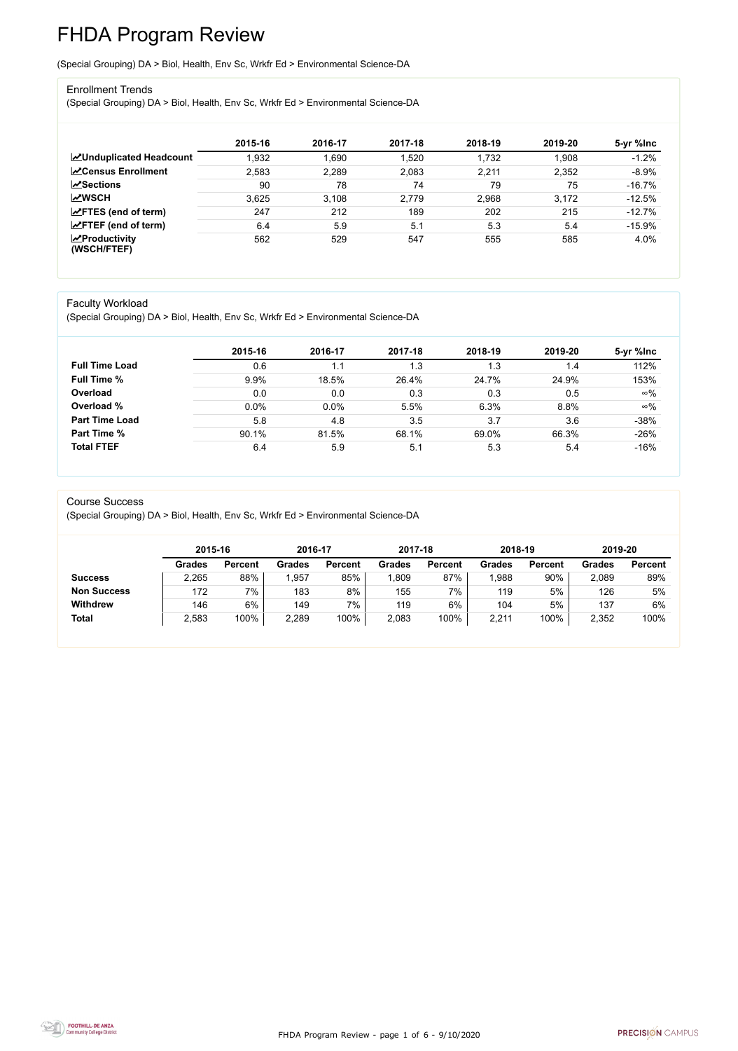FHDA Program Review - page 1 of 6 - 9/10/2020



# FHDA Program Review

(Special Grouping) DA > Biol, Health, Env Sc, Wrkfr Ed > Environmental Science-DA

### Enrollment Trends

(Special Grouping) DA > Biol, Health, Env Sc, Wrkfr Ed > Environmental Science-DA

|                                                  | 2015-16 | 2016-17 | 2017-18 | 2018-19 | 2019-20 | 5-yr %lnc |
|--------------------------------------------------|---------|---------|---------|---------|---------|-----------|
| <b>ZUnduplicated Headcount</b>                   | 1,932   | .690    | 1,520   | 1,732   | 1,908   | $-1.2%$   |
| <b>∠</b> Census Enrollment                       | 2,583   | 2,289   | 2,083   | 2,211   | 2,352   | $-8.9%$   |
| <b>ZSections</b>                                 | 90      | 78      | 74      | 79      | 75      | $-16.7%$  |
| <b>MWSCH</b>                                     | 3.625   | 3,108   | 2,779   | 2,968   | 3,172   | $-12.5%$  |
| $\angle$ FTES (end of term)                      | 247     | 212     | 189     | 202     | 215     | $-12.7%$  |
| $\angle$ FTEF (end of term)                      | 6.4     | 5.9     | 5.1     | 5.3     | 5.4     | $-15.9%$  |
| $\sqrt{\frac{1}{2}}$ Productivity<br>(WSCH/FTEF) | 562     | 529     | 547     | 555     | 585     | 4.0%      |

### Faculty Workload

(Special Grouping) DA > Biol, Health, Env Sc, Wrkfr Ed > Environmental Science-DA

|                       | 2015-16 | 2016-17 | 2017-18 | 2018-19 | 2019-20 | 5-yr %lnc  |
|-----------------------|---------|---------|---------|---------|---------|------------|
| <b>Full Time Load</b> | 0.6     |         | 1.3     | 1.3     | 1.4     | 112%       |
| <b>Full Time %</b>    | $9.9\%$ | 18.5%   | 26.4%   | 24.7%   | 24.9%   | 153%       |
| Overload              | 0.0     | 0.0     | 0.3     | 0.3     | 0.5     | $\infty\%$ |
| Overload %            | 0.0%    | $0.0\%$ | 5.5%    | 6.3%    | 8.8%    | $\infty\%$ |
| <b>Part Time Load</b> | 5.8     | 4.8     | 3.5     | 3.7     | 3.6     | $-38%$     |
| Part Time %           | 90.1%   | 81.5%   | 68.1%   | 69.0%   | 66.3%   | $-26%$     |
| <b>Total FTEF</b>     | 6.4     | 5.9     | 5.1     | 5.3     | 5.4     | $-16%$     |

#### Course Success

(Special Grouping) DA > Biol, Health, Env Sc, Wrkfr Ed > Environmental Science-DA

|                    | 2015-16       |                | 2016-17       |                | 2017-18 |                | 2018-19       |                | 2019-20       |                |
|--------------------|---------------|----------------|---------------|----------------|---------|----------------|---------------|----------------|---------------|----------------|
|                    | <b>Grades</b> | <b>Percent</b> | <b>Grades</b> | <b>Percent</b> | Grades  | <b>Percent</b> | <b>Grades</b> | <b>Percent</b> | <b>Grades</b> | <b>Percent</b> |
| <b>Success</b>     | 2,265         | 88%            | ,957          | 85%            | ,809    | 87%            | ,988          | 90%            | 2,089         | 89%            |
| <b>Non Success</b> | 172           | 7%             | 183           | 8%             | 155     | 7%             | 119           | 5%             | 126           | 5%             |
| <b>Withdrew</b>    | 146           | 6%             | 149           | 7%             | 119     | 6%             | 104           | 5%             | 137           | 6%             |
| <b>Total</b>       | 2,583         | 100%           | 2,289         | 100%           | 2,083   | 100%           | 2,211         | 100%           | 2,352         | 100%           |

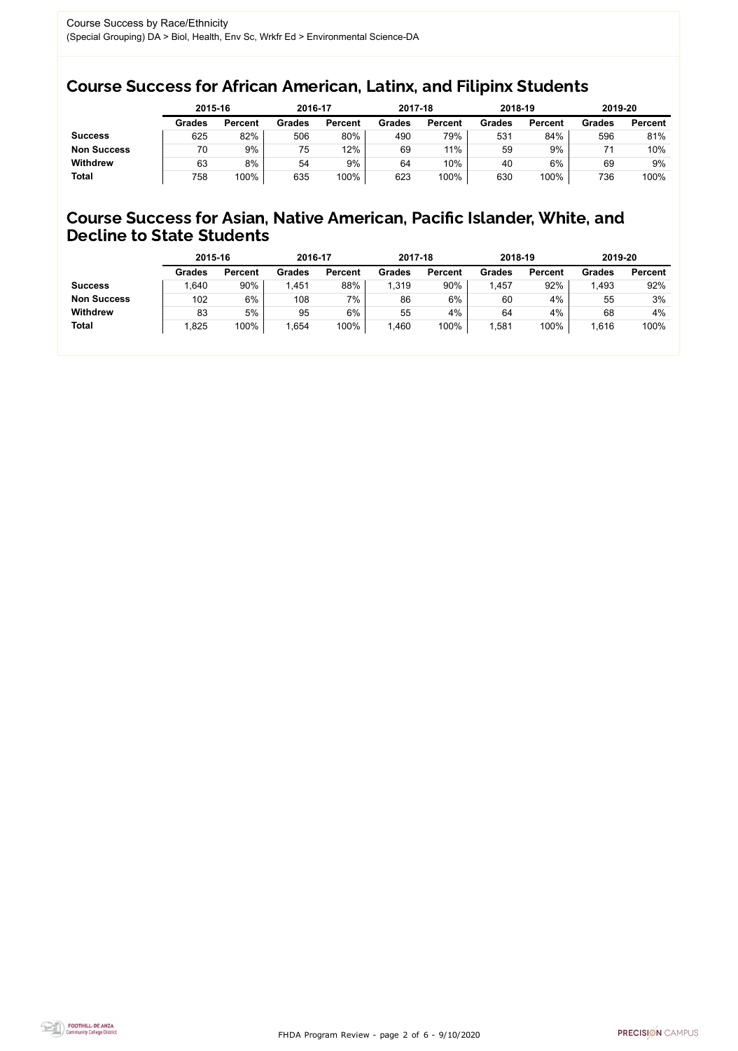FHDA Program Review - page 2 of 6 - 9/10/2020



# Course Success for African American, Latinx, and Filipinx Students

## Course Success for Asian, Native American, Pacific Islander, White, and Decline to State Students

|                    | 2015-16       |                | 2016-17       |                | 2017-18       |                | 2018-19       |                | 2019-20       |                |
|--------------------|---------------|----------------|---------------|----------------|---------------|----------------|---------------|----------------|---------------|----------------|
|                    | <b>Grades</b> | <b>Percent</b> | <b>Grades</b> | <b>Percent</b> | <b>Grades</b> | <b>Percent</b> | <b>Grades</b> | <b>Percent</b> | <b>Grades</b> | <b>Percent</b> |
| <b>Success</b>     | 625           | 82%            | 506           | 80%            | 490           | 79%            | 531           | 84%            | 596           | 81%            |
| <b>Non Success</b> | 70            | 9%             | 75            | 12%            | 69            | 11%            | 59            | 9%             |               | 10%            |
| <b>Withdrew</b>    | 63            | 8%             | 54            | 9%             | 64            | 10%            | 40            | $6\%$          | 69            | 9%             |
| <b>Total</b>       | 758           | 100%           | 635           | 100%           | 623           | 100%           | 630           | 100%           | 736           | 100%           |

|                    | 2015-16       |                | 2016-17       |                | 2017-18       |                | 2018-19       |                | 2019-20 |                |
|--------------------|---------------|----------------|---------------|----------------|---------------|----------------|---------------|----------------|---------|----------------|
|                    | <b>Grades</b> | <b>Percent</b> | <b>Grades</b> | <b>Percent</b> | <b>Grades</b> | <b>Percent</b> | <b>Grades</b> | <b>Percent</b> | Grades  | <b>Percent</b> |
| <b>Success</b>     | .640          | 90%            | 1,451         | 88%            | 1,319         | 90%            | ,457          | 92%            | .493    | 92%            |
| <b>Non Success</b> | 102           | 6%             | 108           | 7%             | 86            | 6%             | 60            | 4%             | 55      | 3%             |
| <b>Withdrew</b>    | 83            | 5%             | 95            | $6\%$          | 55            | 4%             | 64            | 4%             | 68      | 4%             |
| <b>Total</b>       | 1,825         | 100%           | ,654          | 100%           | ,460          | 100%           | ,581          | 100%           | 1,616   | 100%           |
|                    |               |                |               |                |               |                |               |                |         |                |

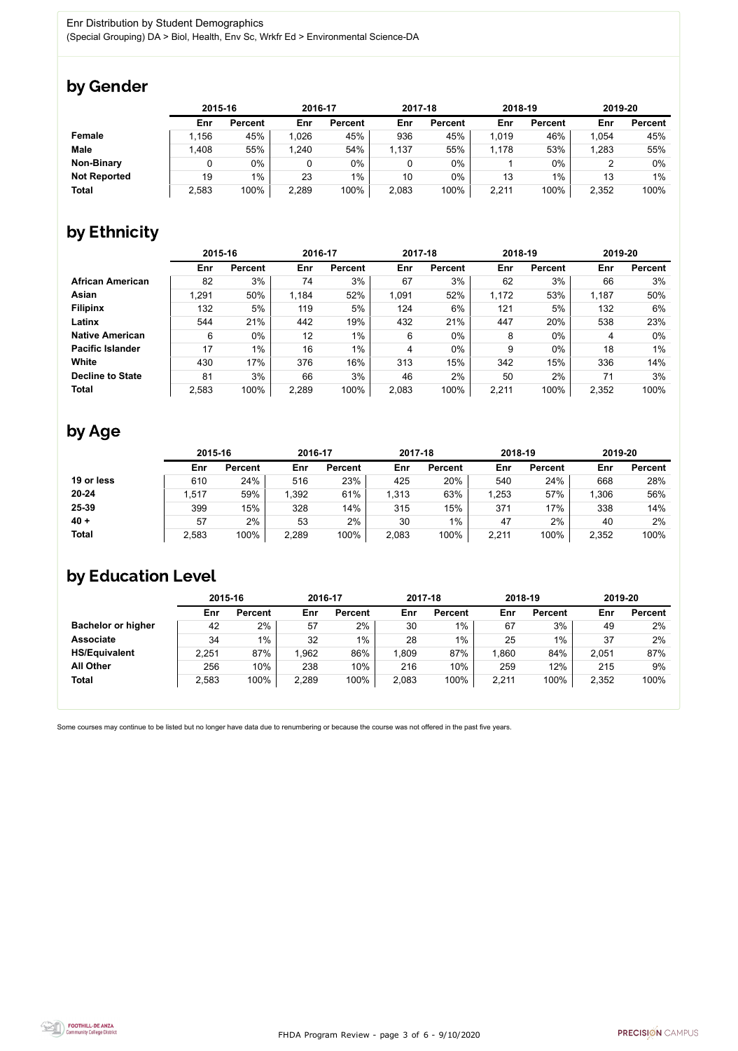FHDA Program Review - page 3 of 6 - 9/10/2020



Some courses may continue to be listed but no longer have data due to renumbering or because the course was not offered in the past five years.



# by Gender

|                     | 2015-16 |                |       | 2016-17        |       | 2017-18        | 2018-19 |                | 2019-20 |                |
|---------------------|---------|----------------|-------|----------------|-------|----------------|---------|----------------|---------|----------------|
|                     | Enr     | <b>Percent</b> | Enr   | <b>Percent</b> | Enr   | <b>Percent</b> | Enr     | <b>Percent</b> | Enr     | <b>Percent</b> |
| <b>Female</b>       | 1,156   | 45%            | 1,026 | 45%            | 936   | 45%            | 1,019   | 46%            | 1,054   | 45%            |
| <b>Male</b>         | 1,408   | 55%            | 1,240 | 54%            | 1,137 | 55%            | 1,178   | 53%            | 1,283   | 55%            |
| <b>Non-Binary</b>   |         | 0%             |       | $0\%$          |       | $0\%$          |         | $0\%$          |         | 0%             |
| <b>Not Reported</b> | 19      | $1\%$          | 23    | $1\%$          | 10    | $0\%$          | 13      | 1%             | 13      | 1%             |
| <b>Total</b>        | 2,583   | 100%           | 2,289 | 100%           | 2,083 | 100%           | 2,211   | 100%           | 2,352   | 100%           |

# by Ethnicity

|                         |       | 2015-16        |       | 2016-17        |       | 2017-18        | 2018-19 |                | 2019-20 |                |
|-------------------------|-------|----------------|-------|----------------|-------|----------------|---------|----------------|---------|----------------|
|                         | Enr   | <b>Percent</b> | Enr   | <b>Percent</b> | Enr   | <b>Percent</b> | Enr     | <b>Percent</b> | Enr     | <b>Percent</b> |
| <b>African American</b> | 82    | 3%             | 74    | 3%             | 67    | 3%             | 62      | 3%             | 66      | 3%             |
| <b>Asian</b>            | 1,291 | 50%            | 1,184 | 52%            | 1,091 | 52%            | 1,172   | 53%            | 1,187   | 50%            |
| <b>Filipinx</b>         | 132   | 5%             | 119   | 5%             | 124   | 6%             | 121     | 5%             | 132     | 6%             |
| Latinx                  | 544   | 21%            | 442   | 19%            | 432   | 21%            | 447     | 20%            | 538     | 23%            |
| <b>Native American</b>  | 6     | $0\%$          | 12    | $1\%$          | 6     | $0\%$          | 8       | $0\%$          | 4       | $0\%$          |
| <b>Pacific Islander</b> | 17    | $1\%$          | 16    | $1\%$          | 4     | 0%             | 9       | $0\%$          | 18      | 1%             |
| White                   | 430   | 17%            | 376   | 16%            | 313   | 15%            | 342     | 15%            | 336     | 14%            |
| <b>Decline to State</b> | 81    | 3%             | 66    | 3%             | 46    | 2%             | 50      | 2%             | 71      | 3%             |
| <b>Total</b>            | 2,583 | 100%           | 2,289 | 100%           | 2,083 | 100%           | 2,211   | 100%           | 2,352   | 100%           |

# by Age

|              | 2015-16 |                | 2016-17 |                | 2017-18 |                | 2018-19 |                | 2019-20 |                |
|--------------|---------|----------------|---------|----------------|---------|----------------|---------|----------------|---------|----------------|
|              | Enr     | <b>Percent</b> | Enr     | <b>Percent</b> | Enr     | <b>Percent</b> | Enr     | <b>Percent</b> | Enr     | <b>Percent</b> |
| 19 or less   | 610     | 24%            | 516     | 23%            | 425     | 20%            | 540     | 24%            | 668     | 28%            |
| $20 - 24$    | ,517    | 59%            | 1,392   | 61%            | 1,313   | 63%            | ,253    | 57%            | 1,306   | 56%            |
| 25-39        | 399     | 15%            | 328     | 14%            | 315     | 15%            | 371     | 17%            | 338     | 14%            |
| $40 +$       | 57      | 2%             | 53      | $2\%$          | 30      | $1\%$          | 47      | 2%             | 40      | 2%             |
| <b>Total</b> | 2,583   | 100%           | 2,289   | 100%           | 2,083   | 100%           | 2,211   | 100%           | 2,352   | 100%           |

# by Education Level

|                           | 2015-16 |                |       | 2016-17        |       | 2017-18        | 2018-19 |                | 2019-20 |                |
|---------------------------|---------|----------------|-------|----------------|-------|----------------|---------|----------------|---------|----------------|
|                           | Enr     | <b>Percent</b> | Enr   | <b>Percent</b> | Enr   | <b>Percent</b> | Enr     | <b>Percent</b> | Enr     | <b>Percent</b> |
| <b>Bachelor or higher</b> | 42      | 2%             | 57    | 2%             | 30    | $1\%$          | 67      | 3%             | 49      | 2%             |
| <b>Associate</b>          | 34      | $1\%$          | 32    | $1\%$          | 28    | $1\%$          | 25      | $1\%$          | 37      | 2%             |
| <b>HS/Equivalent</b>      | 2,251   | 87%            | .962  | 86%            | .809  | 87%            | .860    | 84%            | 2,051   | 87%            |
| <b>All Other</b>          | 256     | 10%            | 238   | 10%            | 216   | 10%            | 259     | 12%            | 215     | 9%             |
| <b>Total</b>              | 2,583   | 100%           | 2,289 | 100%           | 2,083 | 100%           | 2,211   | 100%           | 2,352   | 100%           |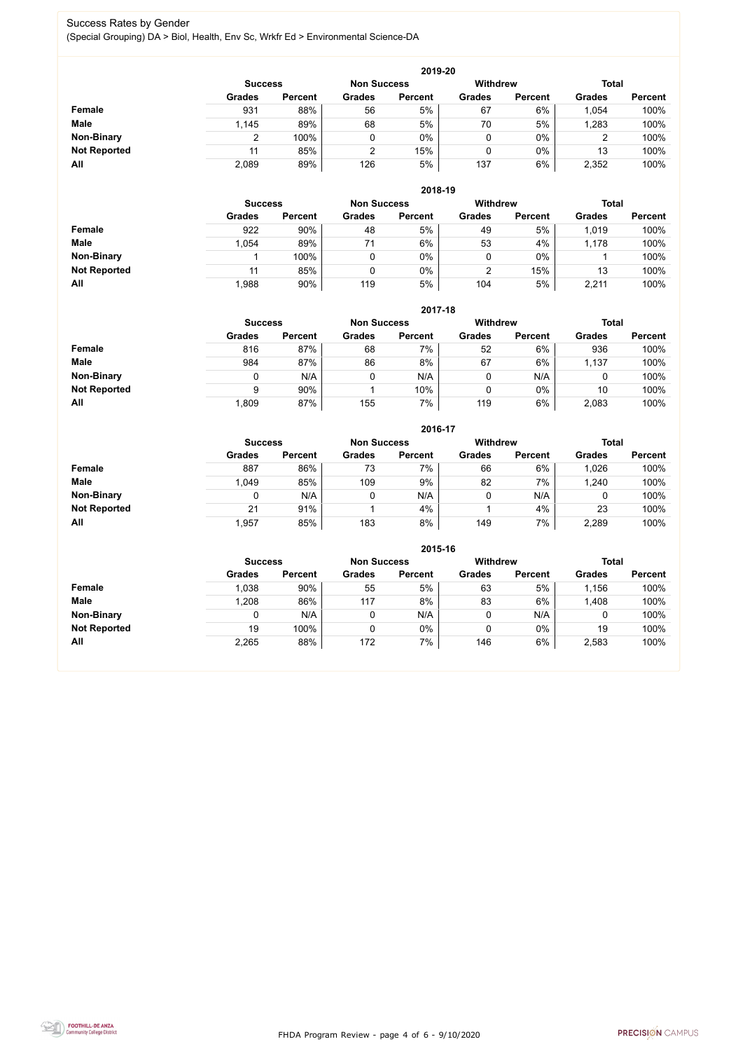FHDA Program Review - page 4 of 6 - 9/10/2020



## Success Rates by Gender (Special Grouping) DA > Biol, Health, Env Sc, Wrkfr Ed > Environmental Science-DA

|                     | 2019-20        |                |                    |                |                 |                |               |                |  |  |  |  |  |
|---------------------|----------------|----------------|--------------------|----------------|-----------------|----------------|---------------|----------------|--|--|--|--|--|
|                     | <b>Success</b> |                | <b>Non Success</b> |                | <b>Withdrew</b> |                | <b>Total</b>  |                |  |  |  |  |  |
|                     | <b>Grades</b>  | <b>Percent</b> | <b>Grades</b>      | <b>Percent</b> | <b>Grades</b>   | <b>Percent</b> | <b>Grades</b> | <b>Percent</b> |  |  |  |  |  |
| Female              | 931            | 88%            | 56                 | 5%             | 67              | 6%             | 1,054         | 100%           |  |  |  |  |  |
| <b>Male</b>         | 1,145          | 89%            | 68                 | 5%             | 70              | 5%             | ,283          | 100%           |  |  |  |  |  |
| <b>Non-Binary</b>   |                | 100%           | 0                  | 0%             |                 | $0\%$          | ◠<br>∠        | 100%           |  |  |  |  |  |
| <b>Not Reported</b> | 11             | 85%            | C                  | 15%            |                 | $0\%$          | 13            | 100%           |  |  |  |  |  |
| All                 | 2,089          | 89%            | 126                | 5%             | 137             | 6%             | 2,352         | 100%           |  |  |  |  |  |

|                     | 2018-19       |                                      |               |                |               |                 |               |                |  |  |  |  |
|---------------------|---------------|--------------------------------------|---------------|----------------|---------------|-----------------|---------------|----------------|--|--|--|--|
|                     |               | <b>Non Success</b><br><b>Success</b> |               |                |               | <b>Withdrew</b> | <b>Total</b>  |                |  |  |  |  |
|                     | <b>Grades</b> | <b>Percent</b>                       | <b>Grades</b> | <b>Percent</b> | <b>Grades</b> | <b>Percent</b>  | <b>Grades</b> | <b>Percent</b> |  |  |  |  |
| <b>Female</b>       | 922           | 90%                                  | 48            | 5%             | 49            | 5%              | 1,019         | 100%           |  |  |  |  |
| <b>Male</b>         | 1,054         | 89%                                  | 71            | 6%             | 53            | 4%              | 1,178         | 100%           |  |  |  |  |
| <b>Non-Binary</b>   |               | 100%                                 |               | $0\%$          | ν             | $0\%$           |               | 100%           |  |  |  |  |
| <b>Not Reported</b> | 11            | 85%                                  |               | $0\%$          | າ             | 15%             | 13            | 100%           |  |  |  |  |
| All                 | 1,988         | 90%                                  | 119           | 5%             | 104           | 5%              | 2,211         | 100%           |  |  |  |  |

|                     |               | 2017-18                              |               |                |               |                |               |                |  |  |  |  |  |
|---------------------|---------------|--------------------------------------|---------------|----------------|---------------|----------------|---------------|----------------|--|--|--|--|--|
|                     |               | <b>Non Success</b><br><b>Success</b> |               |                |               |                | <b>Total</b>  |                |  |  |  |  |  |
|                     | <b>Grades</b> | <b>Percent</b>                       | <b>Grades</b> | <b>Percent</b> | <b>Grades</b> | <b>Percent</b> | <b>Grades</b> | <b>Percent</b> |  |  |  |  |  |
| <b>Female</b>       | 816           | 87%                                  | 68            | 7%             | 52            | 6%             | 936           | 100%           |  |  |  |  |  |
| <b>Male</b>         | 984           | 87%                                  | 86            | 8%             | 67            | 6%             | 1,137         | 100%           |  |  |  |  |  |
| <b>Non-Binary</b>   | 0             | N/A                                  |               | N/A            | 0             | N/A            | 0             | 100%           |  |  |  |  |  |
| <b>Not Reported</b> | 9             | 90%                                  |               | 10%            | 0             | $0\%$          | 10            | 100%           |  |  |  |  |  |
| All                 | .809          | 87%                                  | 155           | 7%             | 119           | 6%             | 2,083         | 100%           |  |  |  |  |  |

|                     |               |                |               | 2016-17        |                 |                |               |                |
|---------------------|---------------|----------------|---------------|----------------|-----------------|----------------|---------------|----------------|
|                     |               | <b>Success</b> |               |                | <b>Withdrew</b> |                | <b>Total</b>  |                |
|                     | <b>Grades</b> | <b>Percent</b> | <b>Grades</b> | <b>Percent</b> | <b>Grades</b>   | <b>Percent</b> | <b>Grades</b> | <b>Percent</b> |
| Female              | 887           | 86%            | 73            | 7%             | 66              | 6%             | 1,026         | 100%           |
| <b>Male</b>         | 1,049         | 85%            | 109           | 9%             | 82              | 7%             | 1,240         | 100%           |
| <b>Non-Binary</b>   | 0             | N/A            |               | N/A            | 0               | N/A            |               | 100%           |
| <b>Not Reported</b> | 21            | 91%            |               | 4%             |                 | 4%             | 23            | 100%           |
| All                 | 1,957         | 85%            | 183           | 8%             | 149             | 7%             | 2,289         | 100%           |

|                     |               |                |               | 2015-16        |                 |                |               |                |
|---------------------|---------------|----------------|---------------|----------------|-----------------|----------------|---------------|----------------|
|                     |               | <b>Success</b> |               |                | <b>Withdrew</b> |                | <b>Total</b>  |                |
|                     | <b>Grades</b> | <b>Percent</b> | <b>Grades</b> | <b>Percent</b> | <b>Grades</b>   | <b>Percent</b> | <b>Grades</b> | <b>Percent</b> |
| Female              | 1,038         | 90%            | 55            | 5%             | 63              | 5%             | 1,156         | 100%           |
| <b>Male</b>         | 1,208         | 86%            | 117           | 8%             | 83              | 6%             | 1,408         | 100%           |
| <b>Non-Binary</b>   |               | N/A            | 0             | N/A            |                 | N/A            |               | 100%           |
| <b>Not Reported</b> | 19            | 100%           | 0             | $0\%$          |                 | $0\%$          | 19            | 100%           |
| All                 | 2,265         | 88%            | 172           | $7\%$          | 146             | 6%             | 2,583         | 100%           |

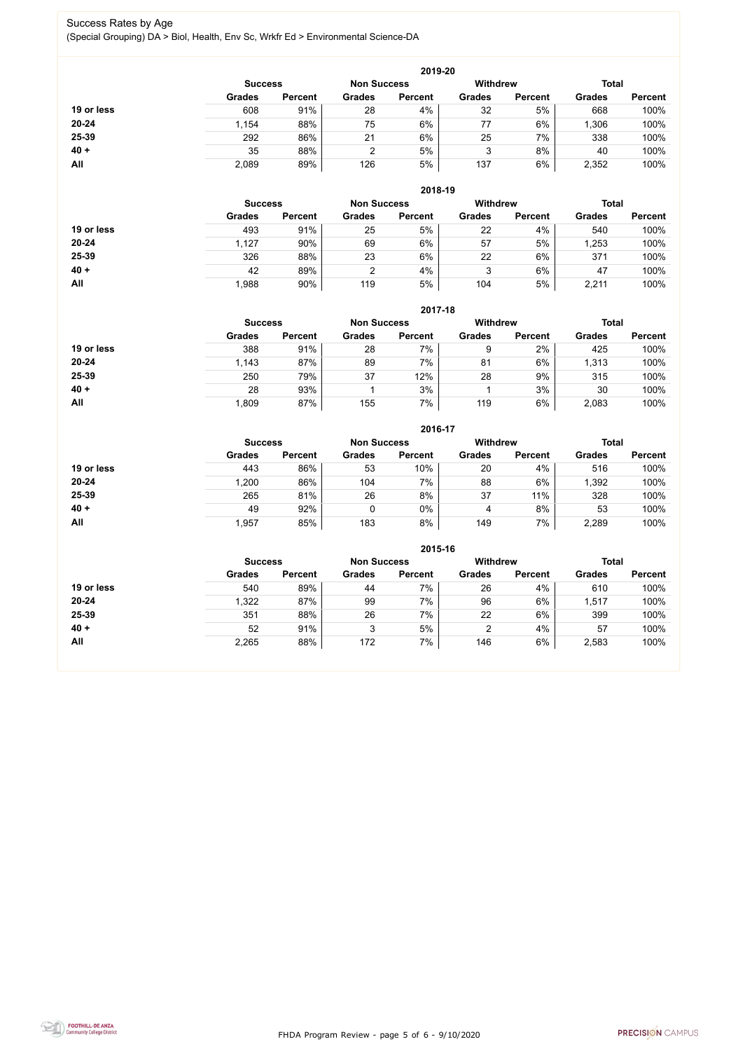FHDA Program Review - page 5 of 6 - 9/10/2020



## Success Rates by Age (Special Grouping) DA > Biol, Health, Env Sc, Wrkfr Ed > Environmental Science-DA

|            |                |                    |               | 2019-20         |               |                |               |                |
|------------|----------------|--------------------|---------------|-----------------|---------------|----------------|---------------|----------------|
|            | <b>Success</b> | <b>Non Success</b> |               | <b>Withdrew</b> |               | <b>Total</b>   |               |                |
|            | <b>Grades</b>  | <b>Percent</b>     | <b>Grades</b> | <b>Percent</b>  | <b>Grades</b> | <b>Percent</b> | <b>Grades</b> | <b>Percent</b> |
| 19 or less | 608            | 91%                | 28            | 4%              | 32            | 5%             | 668           | 100%           |
| $20 - 24$  | 1,154          | 88%                | 75            | $6\%$           | 77            | 6%             | ,306          | 100%           |
| 25-39      | 292            | 86%                | 21            | 6%              | 25            | 7%             | 338           | 100%           |
| $40 +$     | 35             | 88%                | າ             | 5%              | 3             | 8%             | 40            | 100%           |
| All        | 2,089          | 89%                | 126           | 5%              | 137           | 6%             | 2,352         | 100%           |

|            |                |                    |               | 2018-19         |               |                |               |                |
|------------|----------------|--------------------|---------------|-----------------|---------------|----------------|---------------|----------------|
|            | <b>Success</b> | <b>Non Success</b> |               | <b>Withdrew</b> |               | <b>Total</b>   |               |                |
|            | <b>Grades</b>  | <b>Percent</b>     | <b>Grades</b> | <b>Percent</b>  | <b>Grades</b> | <b>Percent</b> | <b>Grades</b> | <b>Percent</b> |
| 19 or less | 493            | 91%                | 25            | 5%              | 22            | 4%             | 540           | 100%           |
| $20 - 24$  | 1,127          | 90%                | 69            | 6%              | 57            | 5%             | ,253          | 100%           |
| 25-39      | 326            | 88%                | 23            | 6%              | 22            | 6%             | 371           | 100%           |
| $40 +$     | 42             | 89%                |               | 4%              | 3             | 6%             | 47            | 100%           |
| All        | 1,988          | 90%                | 119           | 5%              | 104           | 5%             | 2,211         | 100%           |

|            |                                                         |                |               | 2017-18        |               |                |               |                |
|------------|---------------------------------------------------------|----------------|---------------|----------------|---------------|----------------|---------------|----------------|
|            | <b>Withdrew</b><br><b>Non Success</b><br><b>Success</b> |                |               |                |               |                | <b>Total</b>  |                |
|            | <b>Grades</b>                                           | <b>Percent</b> | <b>Grades</b> | <b>Percent</b> | <b>Grades</b> | <b>Percent</b> | <b>Grades</b> | <b>Percent</b> |
| 19 or less | 388                                                     | 91%            | 28            | 7%             | 9             | 2%             | 425           | 100%           |
| $20 - 24$  | 1,143                                                   | 87%            | 89            | 7%             | 81            | 6%             | 1,313         | 100%           |
| 25-39      | 250                                                     | 79%            | 37            | 12%            | 28            | 9%             | 315           | 100%           |
| $40 +$     | 28                                                      | 93%            |               | 3%             |               | 3%             | 30            | 100%           |
| All        | .809                                                    | 87%            | 155           | 7%             | 119           | 6%             | 2,083         | 100%           |

|            |                |                    |               | 2016-17         |               |                |               |                |
|------------|----------------|--------------------|---------------|-----------------|---------------|----------------|---------------|----------------|
|            | <b>Success</b> | <b>Non Success</b> |               | <b>Withdrew</b> |               | <b>Total</b>   |               |                |
|            | <b>Grades</b>  | <b>Percent</b>     | <b>Grades</b> | <b>Percent</b>  | <b>Grades</b> | <b>Percent</b> | <b>Grades</b> | <b>Percent</b> |
| 19 or less | 443            | 86%                | 53            | 10%             | 20            | 4%             | 516           | 100%           |
| $20 - 24$  | 1,200          | 86%                | 104           | 7%              | 88            | 6%             | 1,392         | 100%           |
| 25-39      | 265            | 81%                | 26            | 8%              | 37            | 11%            | 328           | 100%           |
| $40 +$     | 49             | 92%                |               | $0\%$           | 4             | 8%             | 53            | 100%           |
| All        | 1,957          | 85%                | 183           | 8%              | 149           | 7%             | 2,289         | 100%           |

|            |                |                |                    | 2015-16        |                 |                |               |                |
|------------|----------------|----------------|--------------------|----------------|-----------------|----------------|---------------|----------------|
|            | <b>Success</b> |                | <b>Non Success</b> |                | <b>Withdrew</b> |                | <b>Total</b>  |                |
|            | <b>Grades</b>  | <b>Percent</b> | <b>Grades</b>      | <b>Percent</b> | <b>Grades</b>   | <b>Percent</b> | <b>Grades</b> | <b>Percent</b> |
| 19 or less | 540            | 89%            | 44                 | 7%             | 26              | 4%             | 610           | 100%           |
| 20-24      | 322            | 87%            | 99                 | 7%             | 96              | 6%             | 1,517         | 100%           |
| 25-39      | 351            | 88%            | 26                 | 7%             | 22              | 6%             | 399           | 100%           |
| $40 +$     | 52             | 91%            | 3                  | 5%             | 2               | 4%             | 57            | 100%           |
| <b>All</b> | 2,265          | 88%            | 172                | 7%             | 146             | 6%             | 2,583         | 100%           |